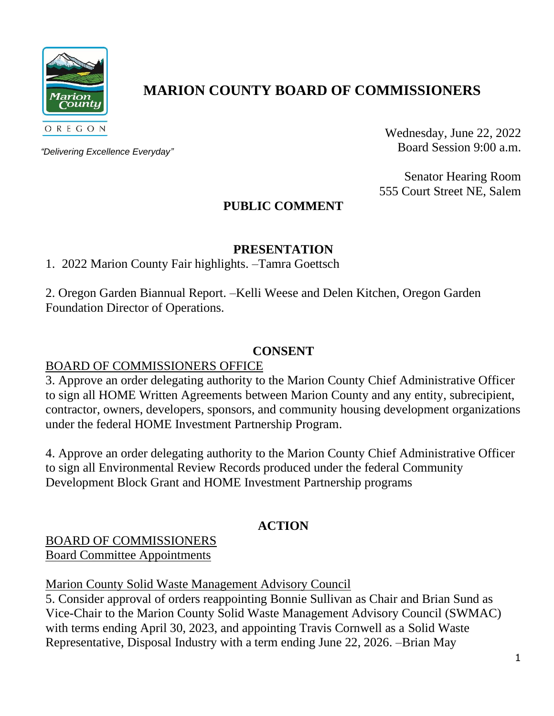

# **MARION COUNTY BOARD OF COMMISSIONERS**

*"Delivering Excellence Everyday"*

Wednesday, June 22, 2022 Board Session 9:00 a.m.

Senator Hearing Room 555 Court Street NE, Salem

## **PUBLIC COMMENT**

### **PRESENTATION**

1. 2022 Marion County Fair highlights. –Tamra Goettsch

2. Oregon Garden Biannual Report. –Kelli Weese and Delen Kitchen, Oregon Garden Foundation Director of Operations.

### **CONSENT**

### BOARD OF COMMISSIONERS OFFICE

3. Approve an order delegating authority to the Marion County Chief Administrative Officer to sign all HOME Written Agreements between Marion County and any entity, subrecipient, contractor, owners, developers, sponsors, and community housing development organizations under the federal HOME Investment Partnership Program.

4. Approve an order delegating authority to the Marion County Chief Administrative Officer to sign all Environmental Review Records produced under the federal Community Development Block Grant and HOME Investment Partnership programs

## **ACTION**

#### BOARD OF COMMISSIONERS Board Committee Appointments

## Marion County Solid Waste Management Advisory Council

5. Consider approval of orders reappointing Bonnie Sullivan as Chair and Brian Sund as Vice-Chair to the Marion County Solid Waste Management Advisory Council (SWMAC) with terms ending April 30, 2023, and appointing Travis Cornwell as a Solid Waste Representative, Disposal Industry with a term ending June 22, 2026. –Brian May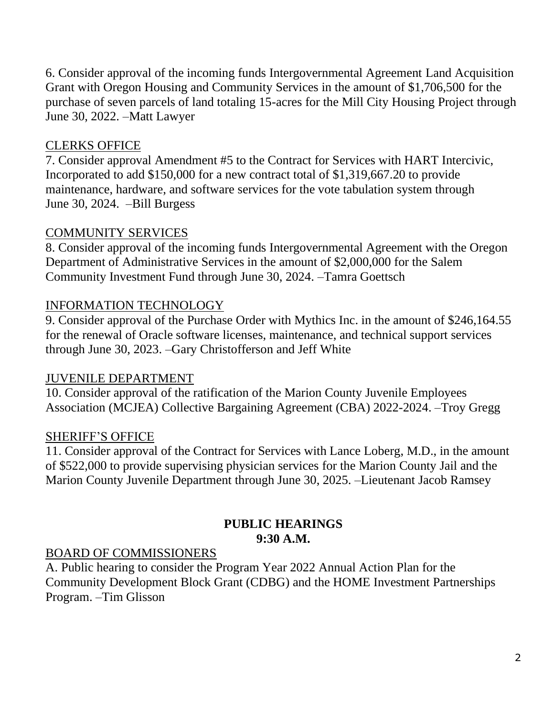6. Consider approval of the incoming funds Intergovernmental Agreement Land Acquisition Grant with Oregon Housing and Community Services in the amount of \$1,706,500 for the purchase of seven parcels of land totaling 15-acres for the Mill City Housing Project through June 30, 2022. –Matt Lawyer

## CLERKS OFFICE

7. Consider approval Amendment #5 to the Contract for Services with HART Intercivic, Incorporated to add \$150,000 for a new contract total of \$1,319,667.20 to provide maintenance, hardware, and software services for the vote tabulation system through June 30, 2024. –Bill Burgess

## COMMUNITY SERVICES

8. Consider approval of the incoming funds Intergovernmental Agreement with the Oregon Department of Administrative Services in the amount of \$2,000,000 for the Salem Community Investment Fund through June 30, 2024. –Tamra Goettsch

## INFORMATION TECHNOLOGY

9. Consider approval of the Purchase Order with Mythics Inc. in the amount of \$246,164.55 for the renewal of Oracle software licenses, maintenance, and technical support services through June 30, 2023. –Gary Christofferson and Jeff White

## JUVENILE DEPARTMENT

10. Consider approval of the ratification of the Marion County Juvenile Employees Association (MCJEA) Collective Bargaining Agreement (CBA) 2022-2024. –Troy Gregg

## SHERIFF'S OFFICE

11. Consider approval of the Contract for Services with Lance Loberg, M.D., in the amount of \$522,000 to provide supervising physician services for the Marion County Jail and the Marion County Juvenile Department through June 30, 2025. –Lieutenant Jacob Ramsey

## **PUBLIC HEARINGS 9:30 A.M.**

## BOARD OF COMMISSIONERS

A. Public hearing to consider the Program Year 2022 Annual Action Plan for the Community Development Block Grant (CDBG) and the HOME Investment Partnerships Program. –Tim Glisson